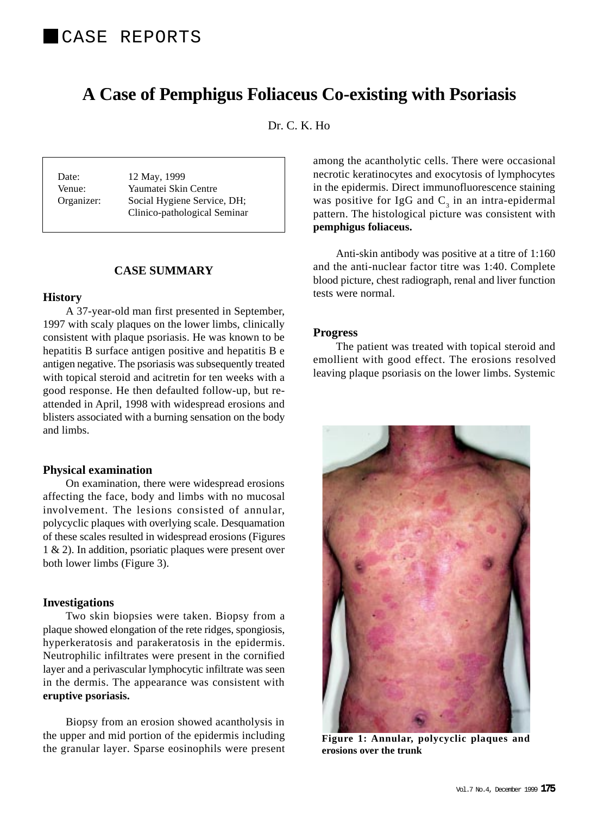# **A Case of Pemphigus Foliaceus Co-existing with Psoriasis**

Dr. C. K. Ho

Date: 12 May, 1999 Venue: Yaumatei Skin Centre Organizer: Social Hygiene Service, DH; Clinico-pathological Seminar

# **CASE SUMMARY**

#### **History**

A 37-year-old man first presented in September, 1997 with scaly plaques on the lower limbs, clinically consistent with plaque psoriasis. He was known to be hepatitis B surface antigen positive and hepatitis B e antigen negative. The psoriasis was subsequently treated with topical steroid and acitretin for ten weeks with a good response. He then defaulted follow-up, but reattended in April, 1998 with widespread erosions and blisters associated with a burning sensation on the body and limbs.

## **Physical examination**

On examination, there were widespread erosions affecting the face, body and limbs with no mucosal involvement. The lesions consisted of annular, polycyclic plaques with overlying scale. Desquamation of these scales resulted in widespread erosions (Figures 1 & 2). In addition, psoriatic plaques were present over both lower limbs (Figure 3).

## **Investigations**

Two skin biopsies were taken. Biopsy from a plaque showed elongation of the rete ridges, spongiosis, hyperkeratosis and parakeratosis in the epidermis. Neutrophilic infiltrates were present in the cornified layer and a perivascular lymphocytic infiltrate was seen in the dermis. The appearance was consistent with **eruptive psoriasis.**

Biopsy from an erosion showed acantholysis in the upper and mid portion of the epidermis including the granular layer. Sparse eosinophils were present among the acantholytic cells. There were occasional necrotic keratinocytes and exocytosis of lymphocytes in the epidermis. Direct immunofluorescence staining was positive for IgG and  $C_3$  in an intra-epidermal pattern. The histological picture was consistent with **pemphigus foliaceus.**

Anti-skin antibody was positive at a titre of 1:160 and the anti-nuclear factor titre was 1:40. Complete blood picture, chest radiograph, renal and liver function tests were normal.

#### **Progress**

The patient was treated with topical steroid and emollient with good effect. The erosions resolved leaving plaque psoriasis on the lower limbs. Systemic



**Figure 1: Annular, polycyclic plaques and erosions over the trunk**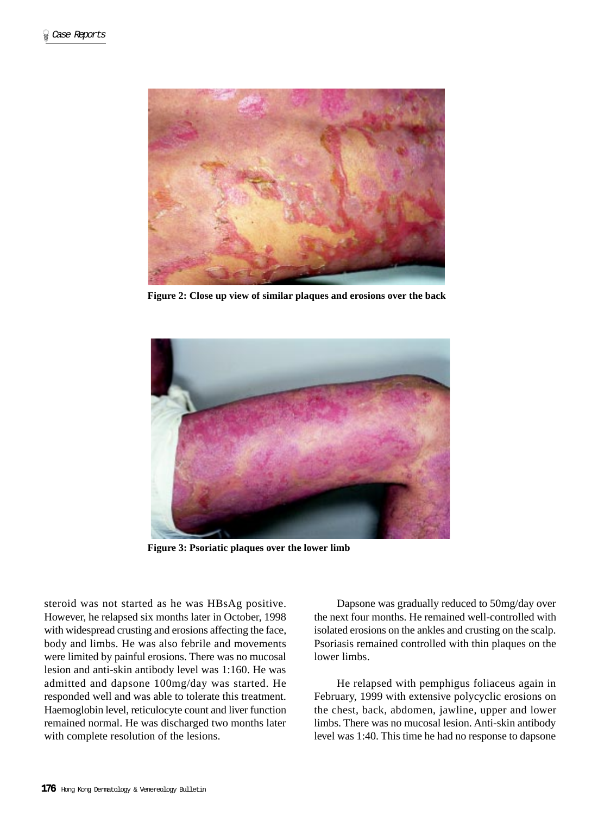

**Figure 2: Close up view of similar plaques and erosions over the back**



**Figure 3: Psoriatic plaques over the lower limb**

steroid was not started as he was HBsAg positive. However, he relapsed six months later in October, 1998 with widespread crusting and erosions affecting the face, body and limbs. He was also febrile and movements were limited by painful erosions. There was no mucosal lesion and anti-skin antibody level was 1:160. He was admitted and dapsone 100mg/day was started. He responded well and was able to tolerate this treatment. Haemoglobin level, reticulocyte count and liver function remained normal. He was discharged two months later with complete resolution of the lesions.

Dapsone was gradually reduced to 50mg/day over the next four months. He remained well-controlled with isolated erosions on the ankles and crusting on the scalp. Psoriasis remained controlled with thin plaques on the lower limbs.

He relapsed with pemphigus foliaceus again in February, 1999 with extensive polycyclic erosions on the chest, back, abdomen, jawline, upper and lower limbs. There was no mucosal lesion. Anti-skin antibody level was 1:40. This time he had no response to dapsone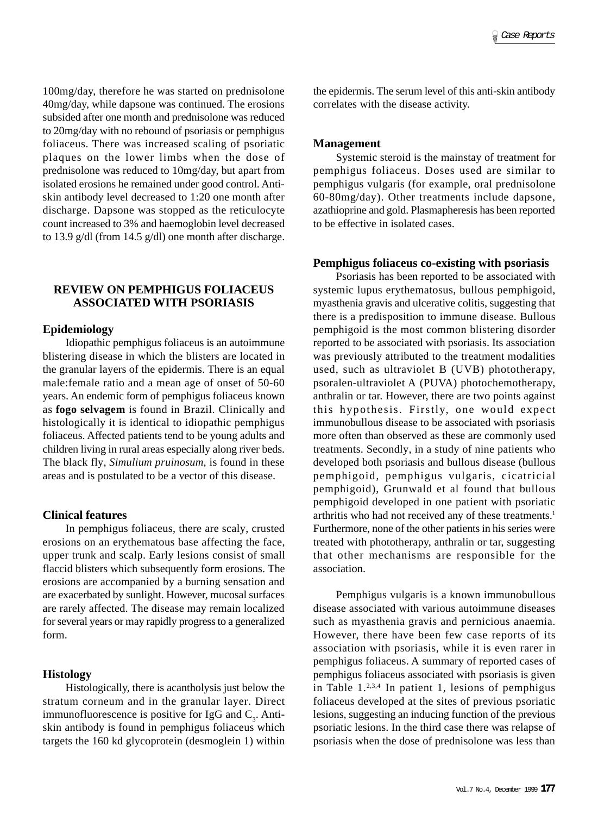100mg/day, therefore he was started on prednisolone 40mg/day, while dapsone was continued. The erosions subsided after one month and prednisolone was reduced to 20mg/day with no rebound of psoriasis or pemphigus foliaceus. There was increased scaling of psoriatic plaques on the lower limbs when the dose of prednisolone was reduced to 10mg/day, but apart from isolated erosions he remained under good control. Antiskin antibody level decreased to 1:20 one month after discharge. Dapsone was stopped as the reticulocyte count increased to 3% and haemoglobin level decreased to 13.9 g/dl (from 14.5 g/dl) one month after discharge.

# **REVIEW ON PEMPHIGUS FOLIACEUS ASSOCIATED WITH PSORIASIS**

## **Epidemiology**

Idiopathic pemphigus foliaceus is an autoimmune blistering disease in which the blisters are located in the granular layers of the epidermis. There is an equal male:female ratio and a mean age of onset of 50-60 years. An endemic form of pemphigus foliaceus known as **fogo selvagem** is found in Brazil. Clinically and histologically it is identical to idiopathic pemphigus foliaceus. Affected patients tend to be young adults and children living in rural areas especially along river beds. The black fly, *Simulium pruinosum,* is found in these areas and is postulated to be a vector of this disease.

#### **Clinical features**

In pemphigus foliaceus, there are scaly, crusted erosions on an erythematous base affecting the face, upper trunk and scalp. Early lesions consist of small flaccid blisters which subsequently form erosions. The erosions are accompanied by a burning sensation and are exacerbated by sunlight. However, mucosal surfaces are rarely affected. The disease may remain localized for several years or may rapidly progress to a generalized form.

## **Histology**

Histologically, there is acantholysis just below the stratum corneum and in the granular layer. Direct immunofluorescence is positive for IgG and  $C_3$ . Antiskin antibody is found in pemphigus foliaceus which targets the 160 kd glycoprotein (desmoglein 1) within

the epidermis. The serum level of this anti-skin antibody correlates with the disease activity.

#### **Management**

Systemic steroid is the mainstay of treatment for pemphigus foliaceus. Doses used are similar to pemphigus vulgaris (for example, oral prednisolone 60-80mg/day). Other treatments include dapsone, azathioprine and gold. Plasmapheresis has been reported to be effective in isolated cases.

#### **Pemphigus foliaceus co-existing with psoriasis**

Psoriasis has been reported to be associated with systemic lupus erythematosus, bullous pemphigoid, myasthenia gravis and ulcerative colitis, suggesting that there is a predisposition to immune disease. Bullous pemphigoid is the most common blistering disorder reported to be associated with psoriasis. Its association was previously attributed to the treatment modalities used, such as ultraviolet B (UVB) phototherapy, psoralen-ultraviolet A (PUVA) photochemotherapy, anthralin or tar. However, there are two points against this hypothesis. Firstly, one would expect immunobullous disease to be associated with psoriasis more often than observed as these are commonly used treatments. Secondly, in a study of nine patients who developed both psoriasis and bullous disease (bullous pemphigoid, pemphigus vulgaris, cicatricial pemphigoid), Grunwald et al found that bullous pemphigoid developed in one patient with psoriatic arthritis who had not received any of these treatments.<sup>1</sup> Furthermore, none of the other patients in his series were treated with phototherapy, anthralin or tar, suggesting that other mechanisms are responsible for the association.

Pemphigus vulgaris is a known immunobullous disease associated with various autoimmune diseases such as myasthenia gravis and pernicious anaemia. However, there have been few case reports of its association with psoriasis, while it is even rarer in pemphigus foliaceus. A summary of reported cases of pemphigus foliaceus associated with psoriasis is given in Table  $1.^{2,3,4}$  In patient 1, lesions of pemphigus foliaceus developed at the sites of previous psoriatic lesions, suggesting an inducing function of the previous psoriatic lesions. In the third case there was relapse of psoriasis when the dose of prednisolone was less than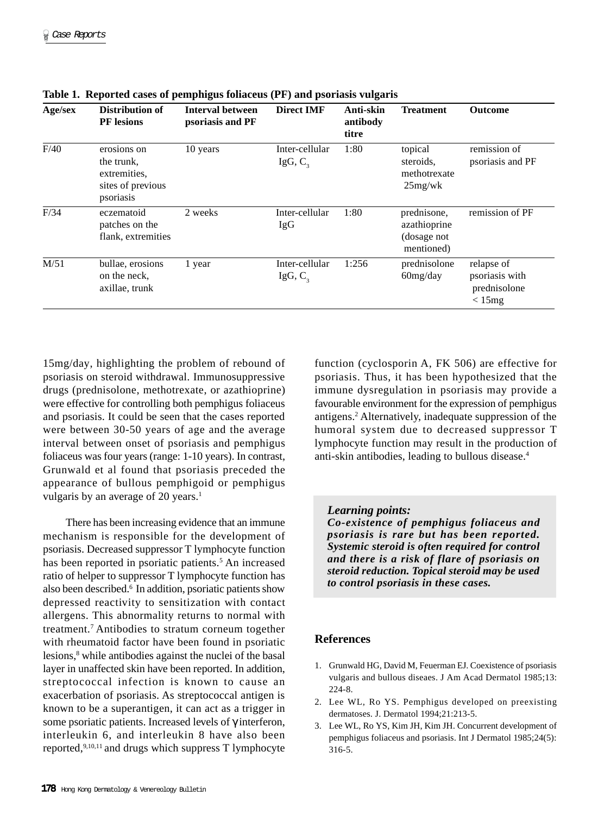| Age/sex | <b>Distribution of</b><br><b>PF</b> lesions                                 | <b>Interval between</b><br>psoriasis and PF | <b>Direct IMF</b>            | Anti-skin<br>antibody<br>titre | <b>Treatment</b>                                         | <b>Outcome</b>                                         |
|---------|-----------------------------------------------------------------------------|---------------------------------------------|------------------------------|--------------------------------|----------------------------------------------------------|--------------------------------------------------------|
| F/40    | erosions on<br>the trunk,<br>extremities.<br>sites of previous<br>psoriasis | 10 years                                    | Inter-cellular<br>IgG, $C_3$ | 1:80                           | topical<br>steroids,<br>methotrexate<br>25mg/wk          | remission of<br>psoriasis and PF                       |
| F/34    | eczematoid<br>patches on the<br>flank, extremities                          | 2 weeks                                     | Inter-cellular<br>IgG        | 1:80                           | prednisone,<br>azathioprine<br>(dosage not<br>mentioned) | remission of PF                                        |
| M/51    | bullae, erosions<br>on the neck,<br>axillae, trunk                          | 1 year                                      | Inter-cellular<br>IgG, $C_3$ | 1:256                          | prednisolone<br>60mg/day                                 | relapse of<br>psoriasis with<br>prednisolone<br>< 15mg |

**Table 1. Reported cases of pemphigus foliaceus (PF) and psoriasis vulgaris**

15mg/day, highlighting the problem of rebound of psoriasis on steroid withdrawal. Immunosuppressive drugs (prednisolone, methotrexate, or azathioprine) were effective for controlling both pemphigus foliaceus and psoriasis. It could be seen that the cases reported were between 30-50 years of age and the average interval between onset of psoriasis and pemphigus foliaceus was four years (range: 1-10 years). In contrast, Grunwald et al found that psoriasis preceded the appearance of bullous pemphigoid or pemphigus vulgaris by an average of 20 years.<sup>1</sup>

There has been increasing evidence that an immune mechanism is responsible for the development of psoriasis. Decreased suppressor T lymphocyte function has been reported in psoriatic patients.<sup>5</sup> An increased ratio of helper to suppressor T lymphocyte function has also been described.6 In addition, psoriatic patients show depressed reactivity to sensitization with contact allergens. This abnormality returns to normal with treatment.7 Antibodies to stratum corneum together with rheumatoid factor have been found in psoriatic lesions,<sup>8</sup> while antibodies against the nuclei of the basal layer in unaffected skin have been reported. In addition, streptococcal infection is known to cause an exacerbation of psoriasis. As streptococcal antigen is known to be a superantigen, it can act as a trigger in some psoriatic patients. Increased levels of γ interferon, interleukin 6, and interleukin 8 have also been reported,9,10,11 and drugs which suppress T lymphocyte function (cyclosporin A, FK 506) are effective for psoriasis. Thus, it has been hypothesized that the immune dysregulation in psoriasis may provide a favourable environment for the expression of pemphigus antigens.2 Alternatively, inadequate suppression of the humoral system due to decreased suppressor T lymphocyte function may result in the production of anti-skin antibodies, leading to bullous disease.4

## *Learning points:*

*Co-existence of pemphigus foliaceus and psoriasis is rare but has been reported. Systemic steroid is often required for control and there is a risk of flare of psoriasis on steroid reduction. Topical steroid may be used to control psoriasis in these cases.*

## **References**

- 1. Grunwald HG, David M, Feuerman EJ. Coexistence of psoriasis vulgaris and bullous diseaes. J Am Acad Dermatol 1985;13: 224-8.
- 2. Lee WL, Ro YS. Pemphigus developed on preexisting dermatoses. J. Dermatol 1994;21:213-5.
- 3. Lee WL, Ro YS, Kim JH, Kim JH. Concurrent development of pemphigus foliaceus and psoriasis. Int J Dermatol 1985;24(5): 316-5.